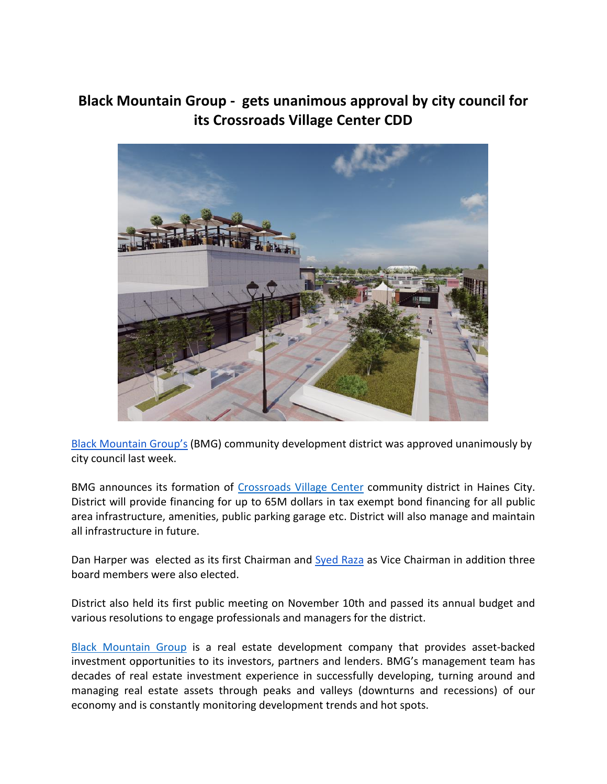## **Black Mountain Group - gets unanimous approval by city council for its Crossroads Village Center CDD**



Black [Mountain](https://blackmgroup.com/) Group's (BMG) community development district was approved unanimously by city council last week.

BMG announces its formation of Crossroads Village Center community district in Haines City.<br>District will provide financing for up to 65M dollars in tax exempt bond financing for all public area infrastructure, amenities, public parking garage etc. District will also manage and maintain all infrastructure in future.

Dan Harper was elected as its first Chairman and [Syed](https://www.linkedin.com/in/syed-raza-13321220/) Raza as Vice Chairman in addition three board members were also elected.

District also held its first public meeting on November 10th and passed its annualbudget and various resolutions to engage professionals and managers for the district.

Black [Mountain](https://blackmgroup.com/) Group is a real estate development company that provides asset-backed investment opportunities to its investors, partners and lenders. BMG's management team has decades of real estate investment experience in successfully developing, turning around and managing real estate assets through peaks and valleys (downturns and recessions) of our economy and is constantly monitoring development trends and hot spots.